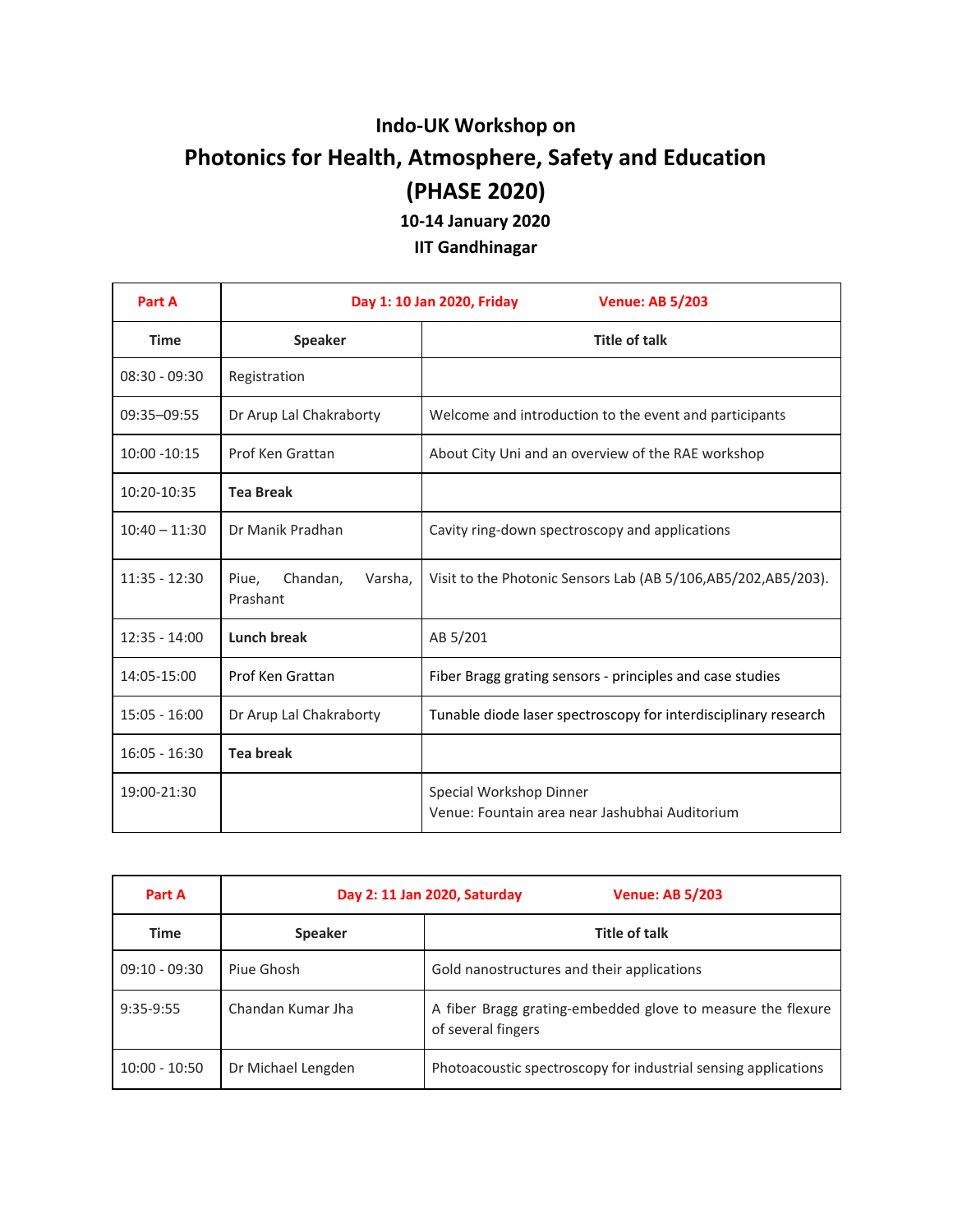## **Indo-UK Workshop on Photonics for Health, Atmosphere, Safety and Education (PHASE 2020) 10-14 January 2020**

**IIT Gandhinagar**

| Part A          | Day 1: 10 Jan 2020, Friday<br><b>Venue: AB 5/203</b> |                                                                           |
|-----------------|------------------------------------------------------|---------------------------------------------------------------------------|
| <b>Time</b>     | <b>Speaker</b>                                       | <b>Title of talk</b>                                                      |
| $08:30 - 09:30$ | Registration                                         |                                                                           |
| 09:35-09:55     | Dr Arup Lal Chakraborty                              | Welcome and introduction to the event and participants                    |
| $10:00 - 10:15$ | Prof Ken Grattan                                     | About City Uni and an overview of the RAE workshop                        |
| 10:20-10:35     | <b>Tea Break</b>                                     |                                                                           |
| $10:40 - 11:30$ | Dr Manik Pradhan                                     | Cavity ring-down spectroscopy and applications                            |
| $11:35 - 12:30$ | Piue,<br>Chandan,<br>Varsha,<br>Prashant             | Visit to the Photonic Sensors Lab (AB 5/106,AB5/202,AB5/203).             |
| $12:35 - 14:00$ | Lunch break                                          | AB 5/201                                                                  |
| 14:05-15:00     | Prof Ken Grattan                                     | Fiber Bragg grating sensors - principles and case studies                 |
| $15:05 - 16:00$ | Dr Arup Lal Chakraborty                              | Tunable diode laser spectroscopy for interdisciplinary research           |
| $16:05 - 16:30$ | <b>Tea break</b>                                     |                                                                           |
| 19:00-21:30     |                                                      | Special Workshop Dinner<br>Venue: Fountain area near Jashubhai Auditorium |

| Part A          |                    | <b>Venue: AB 5/203</b><br>Day 2: 11 Jan 2020, Saturday                            |
|-----------------|--------------------|-----------------------------------------------------------------------------------|
| Time            | <b>Speaker</b>     | Title of talk                                                                     |
| $09:10 - 09:30$ | Piue Ghosh         | Gold nanostructures and their applications                                        |
| 9:35-9:55       | Chandan Kumar Jha  | A fiber Bragg grating-embedded glove to measure the flexure<br>of several fingers |
| $10:00 - 10:50$ | Dr Michael Lengden | Photoacoustic spectroscopy for industrial sensing applications                    |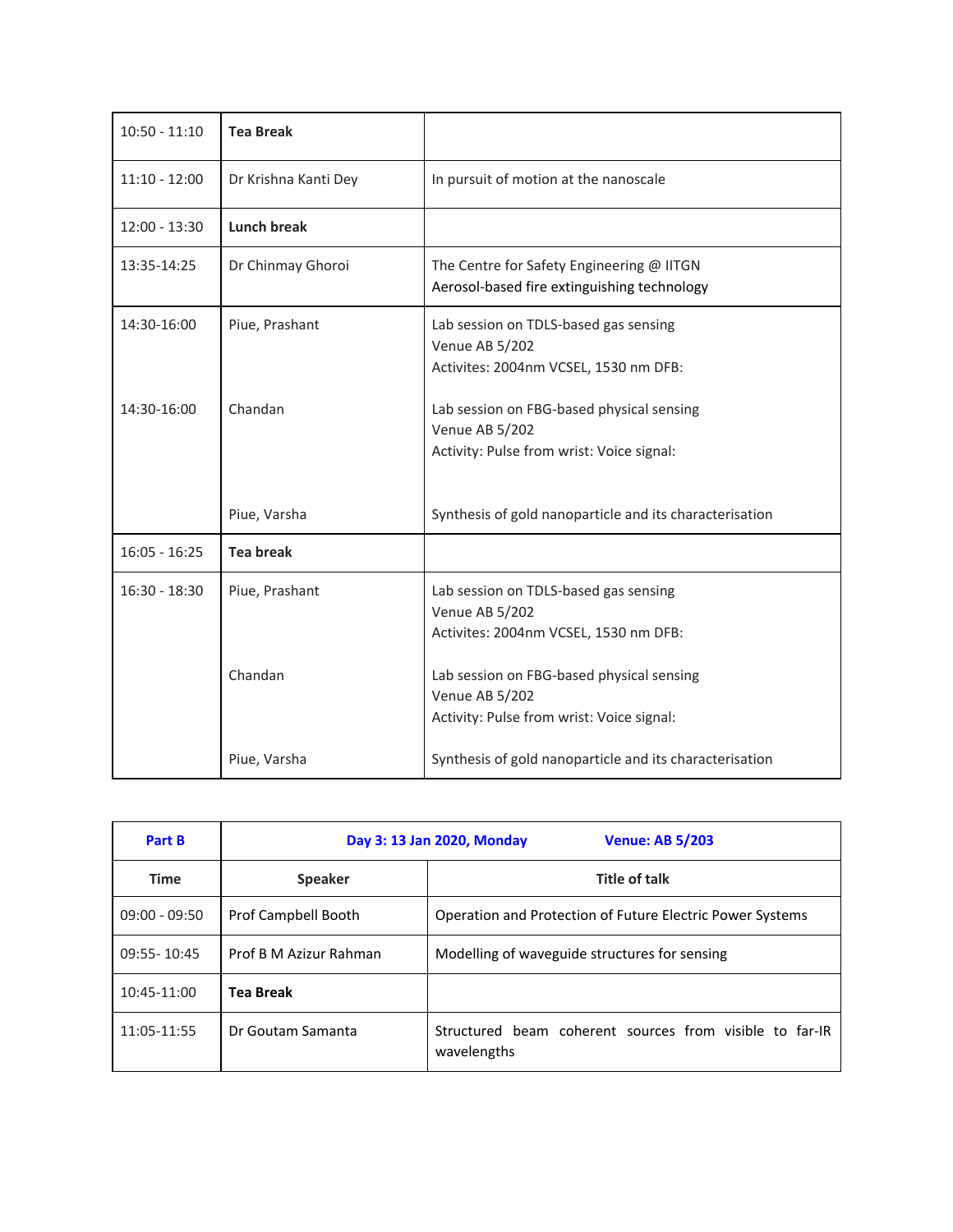| $10:50 - 11:10$ | <b>Tea Break</b>     |                                                                                                          |
|-----------------|----------------------|----------------------------------------------------------------------------------------------------------|
| $11:10 - 12:00$ | Dr Krishna Kanti Dey | In pursuit of motion at the nanoscale                                                                    |
| $12:00 - 13:30$ | <b>Lunch break</b>   |                                                                                                          |
| 13:35-14:25     | Dr Chinmay Ghoroi    | The Centre for Safety Engineering @ IITGN<br>Aerosol-based fire extinguishing technology                 |
| 14:30-16:00     | Piue, Prashant       | Lab session on TDLS-based gas sensing<br>Venue AB 5/202<br>Activites: 2004nm VCSEL, 1530 nm DFB:         |
| 14:30-16:00     | Chandan              | Lab session on FBG-based physical sensing<br>Venue AB 5/202<br>Activity: Pulse from wrist: Voice signal: |
|                 | Piue, Varsha         | Synthesis of gold nanoparticle and its characterisation                                                  |
| $16:05 - 16:25$ | <b>Tea break</b>     |                                                                                                          |
| $16:30 - 18:30$ | Piue, Prashant       | Lab session on TDLS-based gas sensing<br>Venue AB 5/202<br>Activites: 2004nm VCSEL, 1530 nm DFB:         |
|                 | Chandan              | Lab session on FBG-based physical sensing<br>Venue AB 5/202<br>Activity: Pulse from wrist: Voice signal: |
|                 | Piue, Varsha         | Synthesis of gold nanoparticle and its characterisation                                                  |

| <b>Part B</b>   |                        | <b>Venue: AB 5/203</b><br>Day 3: 13 Jan 2020, Monday                   |
|-----------------|------------------------|------------------------------------------------------------------------|
| <b>Time</b>     | <b>Speaker</b>         | <b>Title of talk</b>                                                   |
| $09:00 - 09:50$ | Prof Campbell Booth    | Operation and Protection of Future Electric Power Systems              |
| 09:55-10:45     | Prof B M Azizur Rahman | Modelling of waveguide structures for sensing                          |
| $10:45-11:00$   | <b>Tea Break</b>       |                                                                        |
| 11:05-11:55     | Dr Goutam Samanta      | Structured beam coherent sources from visible to far-IR<br>wavelengths |